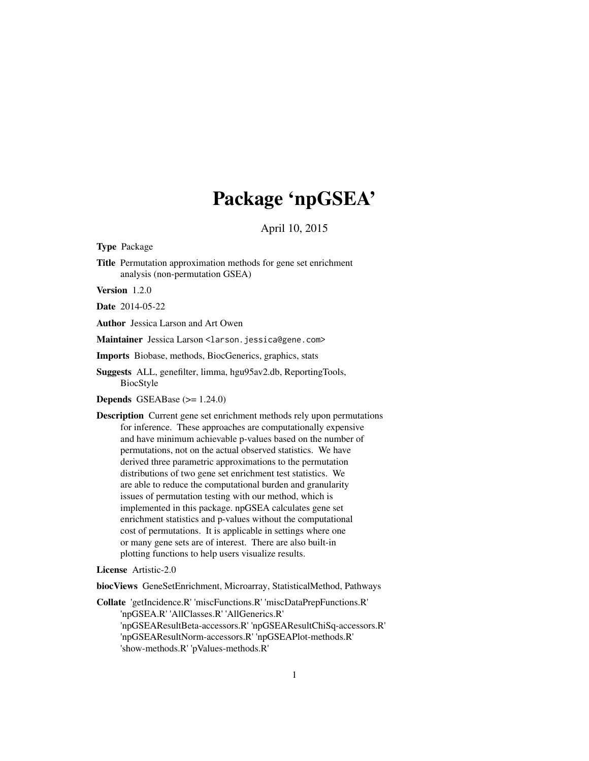## Package 'npGSEA'

April 10, 2015

Type Package

Title Permutation approximation methods for gene set enrichment analysis (non-permutation GSEA)

Version 1.2.0

Date 2014-05-22

Author Jessica Larson and Art Owen

Maintainer Jessica Larson <larson.jessica@gene.com>

Imports Biobase, methods, BiocGenerics, graphics, stats

Suggests ALL, genefilter, limma, hgu95av2.db, ReportingTools, BiocStyle

Depends GSEABase (>= 1.24.0)

Description Current gene set enrichment methods rely upon permutations for inference. These approaches are computationally expensive and have minimum achievable p-values based on the number of permutations, not on the actual observed statistics. We have derived three parametric approximations to the permutation distributions of two gene set enrichment test statistics. We are able to reduce the computational burden and granularity issues of permutation testing with our method, which is implemented in this package. npGSEA calculates gene set enrichment statistics and p-values without the computational cost of permutations. It is applicable in settings where one or many gene sets are of interest. There are also built-in plotting functions to help users visualize results.

License Artistic-2.0

biocViews GeneSetEnrichment, Microarray, StatisticalMethod, Pathways

Collate 'getIncidence.R' 'miscFunctions.R' 'miscDataPrepFunctions.R' 'npGSEA.R' 'AllClasses.R' 'AllGenerics.R' 'npGSEAResultBeta-accessors.R' 'npGSEAResultChiSq-accessors.R' 'npGSEAResultNorm-accessors.R' 'npGSEAPlot-methods.R' 'show-methods.R' 'pValues-methods.R'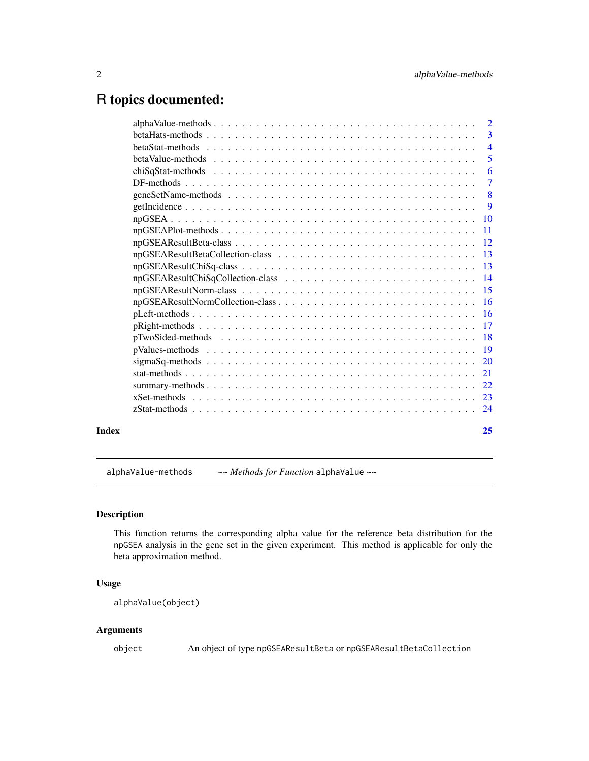## <span id="page-1-0"></span>R topics documented:

|       | $\overline{2}$ |
|-------|----------------|
|       | $\overline{3}$ |
|       | $\overline{4}$ |
|       |                |
|       | -6             |
|       | $\overline{7}$ |
|       |                |
|       | $\overline{9}$ |
|       |                |
|       |                |
|       |                |
|       |                |
|       |                |
|       |                |
|       |                |
|       |                |
|       |                |
|       |                |
|       |                |
|       |                |
|       |                |
|       |                |
|       |                |
|       |                |
|       |                |
| Index | 25             |
|       |                |

alphaValue-methods *~~ Methods for Function* alphaValue *~~*

## Description

This function returns the corresponding alpha value for the reference beta distribution for the npGSEA analysis in the gene set in the given experiment. This method is applicable for only the beta approximation method.

## Usage

alphaValue(object)

## Arguments

object An object of type npGSEAResultBeta or npGSEAResultBetaCollection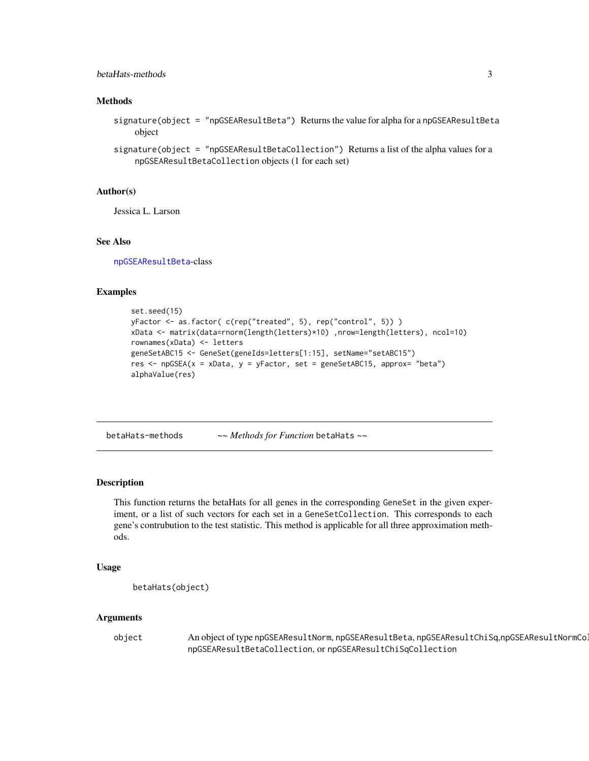## <span id="page-2-0"></span>betaHats-methods 3

## **Methods**

- signature(object = "npGSEAResultBeta") Returns the value for alpha for a npGSEAResultBeta object
- signature(object = "npGSEAResultBetaCollection") Returns a list of the alpha values for a npGSEAResultBetaCollection objects (1 for each set)

#### Author(s)

Jessica L. Larson

#### See Also

[npGSEAResultBeta](#page-11-1)-class

## Examples

```
set.seed(15)
yFactor <- as.factor( c(rep("treated", 5), rep("control", 5)) )
xData <- matrix(data=rnorm(length(letters)*10) ,nrow=length(letters), ncol=10)
rownames(xData) <- letters
geneSetABC15 <- GeneSet(geneIds=letters[1:15], setName="setABC15")
res <- npGSEA(x = xData, y = yFactor, set = geneSetABC15, approx= "beta")
alphaValue(res)
```
betaHats-methods *~~ Methods for Function* betaHats *~~*

## **Description**

This function returns the betaHats for all genes in the corresponding GeneSet in the given experiment, or a list of such vectors for each set in a GeneSetCollection. This corresponds to each gene's contrubution to the test statistic. This method is applicable for all three approximation methods.

#### Usage

```
betaHats(object)
```
#### Arguments

object An object of type npGSEAResultNorm, npGSEAResultBeta, npGSEAResultChiSq,npGSEAResultNormCo. npGSEAResultBetaCollection, or npGSEAResultChiSqCollection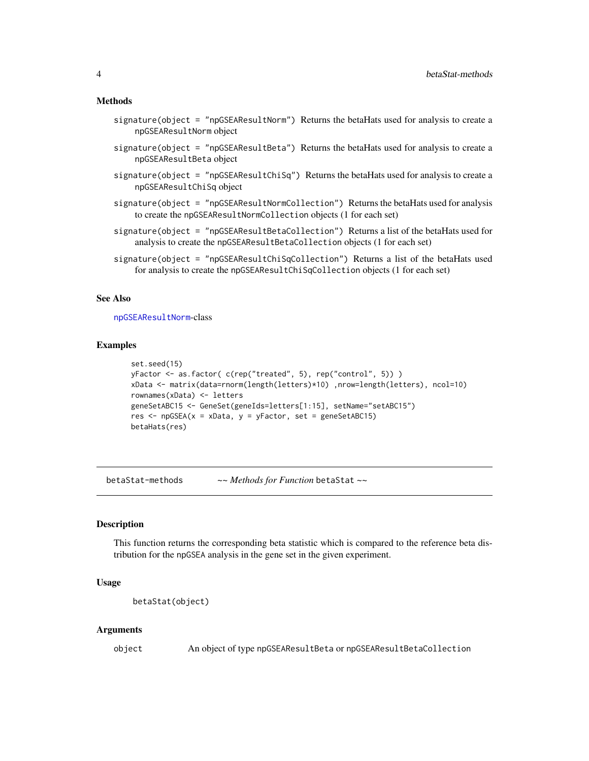#### <span id="page-3-0"></span>Methods

- signature(object = "npGSEAResultNorm") Returns the betaHats used for analysis to create a npGSEAResultNorm object
- signature(object = "npGSEAResultBeta") Returns the betaHats used for analysis to create a npGSEAResultBeta object
- signature(object = "npGSEAResultChiSq") Returns the betaHats used for analysis to create a npGSEAResultChiSq object
- signature(object = "npGSEAResultNormCollection") Returns the betaHats used for analysis to create the npGSEAResultNormCollection objects (1 for each set)
- signature(object = "npGSEAResultBetaCollection") Returns a list of the betaHats used for analysis to create the npGSEAResultBetaCollection objects (1 for each set)
- signature(object = "npGSEAResultChiSqCollection") Returns a list of the betaHats used for analysis to create the npGSEAResultChiSqCollection objects (1 for each set)

#### See Also

[npGSEAResultNorm](#page-14-1)-class

#### Examples

```
set.seed(15)
yFactor <- as.factor( c(rep("treated", 5), rep("control", 5)) )
xData <- matrix(data=rnorm(length(letters)*10) ,nrow=length(letters), ncol=10)
rownames(xData) <- letters
geneSetABC15 <- GeneSet(geneIds=letters[1:15], setName="setABC15")
res \leq npGSEA(x = xData, y = yFactor, set = geneSetABC15)
betaHats(res)
```
betaStat-methods *~~ Methods for Function* betaStat *~~*

#### Description

This function returns the corresponding beta statistic which is compared to the reference beta distribution for the npGSEA analysis in the gene set in the given experiment.

#### Usage

```
betaStat(object)
```
#### Arguments

object An object of type npGSEAResultBeta or npGSEAResultBetaCollection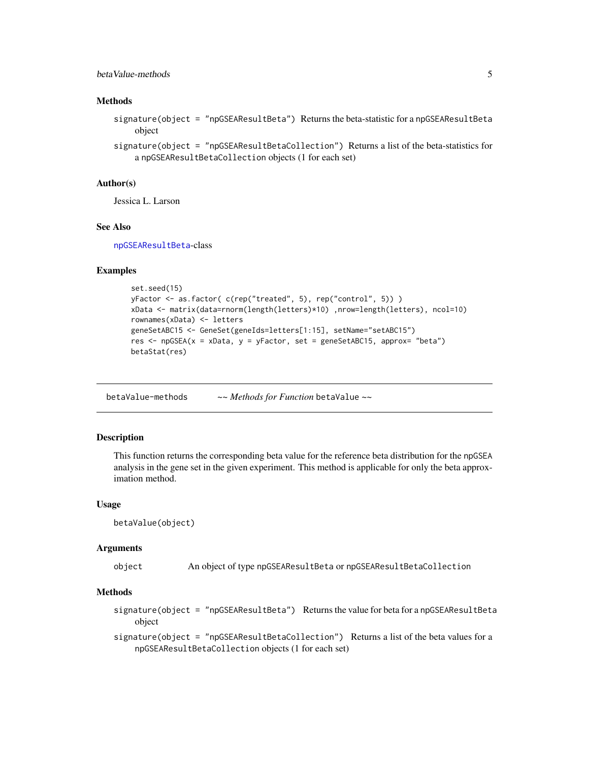## <span id="page-4-0"></span>betaValue-methods 5

## **Methods**

signature(object = "npGSEAResultBeta") Returns the beta-statistic for a npGSEAResultBeta object

signature(object = "npGSEAResultBetaCollection") Returns a list of the beta-statistics for a npGSEAResultBetaCollection objects (1 for each set)

## Author(s)

Jessica L. Larson

## See Also

[npGSEAResultBeta](#page-11-1)-class

#### Examples

```
set.seed(15)
yFactor <- as.factor( c(rep("treated", 5), rep("control", 5)) )
xData <- matrix(data=rnorm(length(letters)*10) ,nrow=length(letters), ncol=10)
rownames(xData) <- letters
geneSetABC15 <- GeneSet(geneIds=letters[1:15], setName="setABC15")
res <- npGSEA(x = xData, y = yFactor, set = geneSetABC15, approx= "beta")
betaStat(res)
```
betaValue-methods *~~ Methods for Function* betaValue *~~*

#### Description

This function returns the corresponding beta value for the reference beta distribution for the npGSEA analysis in the gene set in the given experiment. This method is applicable for only the beta approximation method.

#### Usage

```
betaValue(object)
```
#### Arguments

object An object of type npGSEAResultBeta or npGSEAResultBetaCollection

## Methods

signature(object = "npGSEAResultBeta") Returns the value for beta for a npGSEAResultBeta object

signature(object = "npGSEAResultBetaCollection") Returns a list of the beta values for a npGSEAResultBetaCollection objects (1 for each set)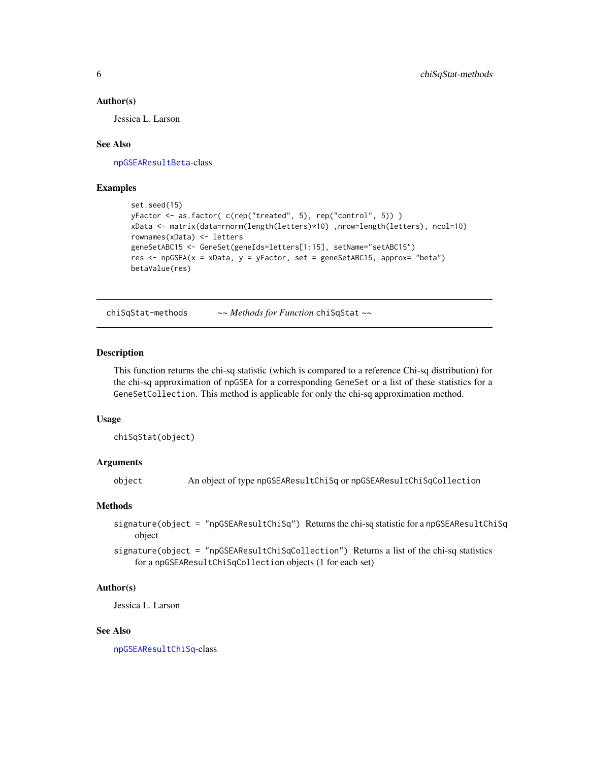#### <span id="page-5-0"></span>Author(s)

Jessica L. Larson

## See Also

[npGSEAResultBeta](#page-11-1)-class

## Examples

```
set.seed(15)
yFactor <- as.factor( c(rep("treated", 5), rep("control", 5)) )
xData <- matrix(data=rnorm(length(letters)*10) ,nrow=length(letters), ncol=10)
rownames(xData) <- letters
geneSetABC15 <- GeneSet(geneIds=letters[1:15], setName="setABC15")
res <- npGSEA(x = xData, y = yFactor, set = geneSetABC15, approx= "beta")
betaValue(res)
```
chiSqStat-methods *~~ Methods for Function* chiSqStat *~~*

## **Description**

This function returns the chi-sq statistic (which is compared to a reference Chi-sq distribution) for the chi-sq approximation of npGSEA for a corresponding GeneSet or a list of these statistics for a GeneSetCollection. This method is applicable for only the chi-sq approximation method.

#### Usage

chiSqStat(object)

## Arguments

object An object of type npGSEAResultChiSq or npGSEAResultChiSqCollection

## **Methods**

signature(object = "npGSEAResultChiSq") Returns the chi-sq statistic for a npGSEAResultChiSq object

signature(object = "npGSEAResultChiSqCollection") Returns a list of the chi-sq statistics for a npGSEAResultChiSqCollection objects (1 for each set)

#### Author(s)

Jessica L. Larson

#### See Also

[npGSEAResultChiSq](#page-12-1)-class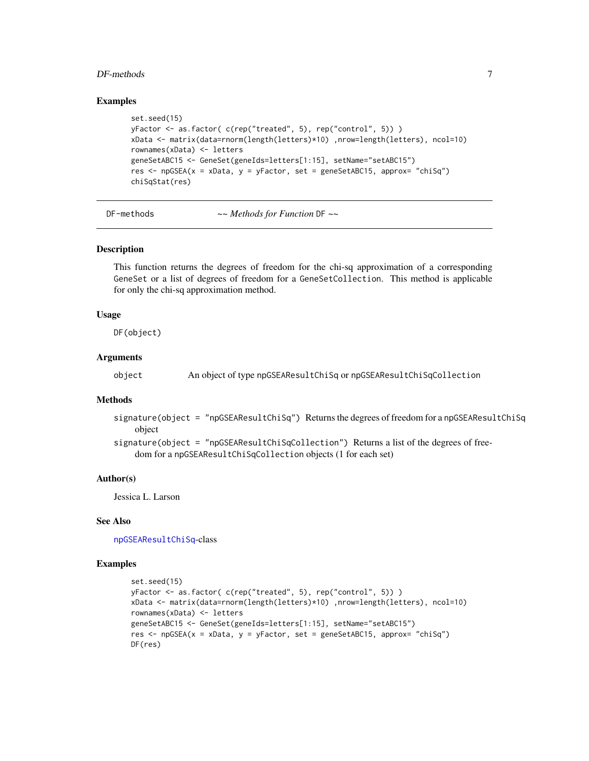#### <span id="page-6-0"></span> $DF$ -methods  $\overline{7}$

#### Examples

```
set.seed(15)
yFactor <- as.factor( c(rep("treated", 5), rep("control", 5)) )
xData <- matrix(data=rnorm(length(letters)*10) ,nrow=length(letters), ncol=10)
rownames(xData) <- letters
geneSetABC15 <- GeneSet(geneIds=letters[1:15], setName="setABC15")
res <- npGSEA(x = xData, y = yFactor, set = geneSetABC15, approx= "chiSq")
chiSqStat(res)
```
DF-methods *~~ Methods for Function* DF *~~*

## Description

This function returns the degrees of freedom for the chi-sq approximation of a corresponding GeneSet or a list of degrees of freedom for a GeneSetCollection. This method is applicable for only the chi-sq approximation method.

#### Usage

DF(object)

#### Arguments

object An object of type npGSEAResultChiSq or npGSEAResultChiSqCollection

#### Methods

signature(object = "npGSEAResultChiSq") Returns the degrees of freedom for a npGSEAResultChiSq object

signature(object = "npGSEAResultChiSqCollection") Returns a list of the degrees of freedom for a npGSEAResultChiSqCollection objects (1 for each set)

#### Author(s)

Jessica L. Larson

## See Also

[npGSEAResultChiSq](#page-12-1)-class

```
set.seed(15)
yFactor <- as.factor( c(rep("treated", 5), rep("control", 5)) )
xData <- matrix(data=rnorm(length(letters)*10) ,nrow=length(letters), ncol=10)
rownames(xData) <- letters
geneSetABC15 <- GeneSet(geneIds=letters[1:15], setName="setABC15")
res <- npGSEA(x = xData, y = yFactor, set = geneSetABC15, approx= "chiSq")
DF(res)
```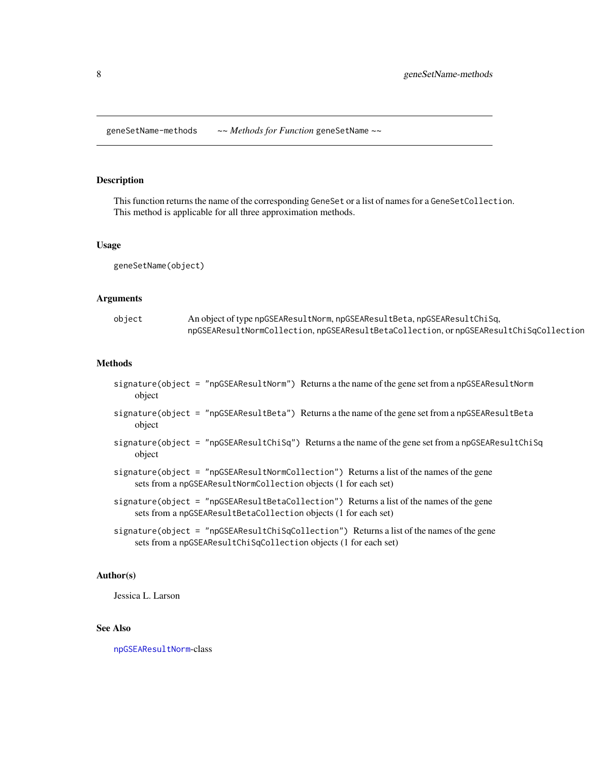<span id="page-7-0"></span>geneSetName-methods *~~ Methods for Function* geneSetName *~~*

## Description

This function returns the name of the corresponding GeneSet or a list of names for a GeneSetCollection. This method is applicable for all three approximation methods.

#### Usage

geneSetName(object)

#### Arguments

| object | An object of type npGSEAResultNorm, npGSEAResultBeta, npGSEAResultChiSq,              |
|--------|---------------------------------------------------------------------------------------|
|        | npGSEAResultNormCollection, npGSEAResultBetaCollection, ornpGSEAResultChiSqCollection |

#### **Methods**

- signature(object = "npGSEAResultNorm") Returns a the name of the gene set from a npGSEAResultNorm object
- signature(object = "npGSEAResultBeta") Returns a the name of the gene set from a npGSEAResultBeta object
- signature(object = "npGSEAResultChiSq") Returns a the name of the gene set from a npGSEAResultChiSq object
- signature(object = "npGSEAResultNormCollection") Returns a list of the names of the gene sets from a npGSEAResultNormCollection objects (1 for each set)
- signature(object = "npGSEAResultBetaCollection") Returns a list of the names of the gene sets from a npGSEAResultBetaCollection objects (1 for each set)

signature(object = "npGSEAResultChiSqCollection") Returns a list of the names of the gene sets from a npGSEAResultChiSqCollection objects (1 for each set)

#### Author(s)

Jessica L. Larson

## See Also

[npGSEAResultNorm](#page-14-1)-class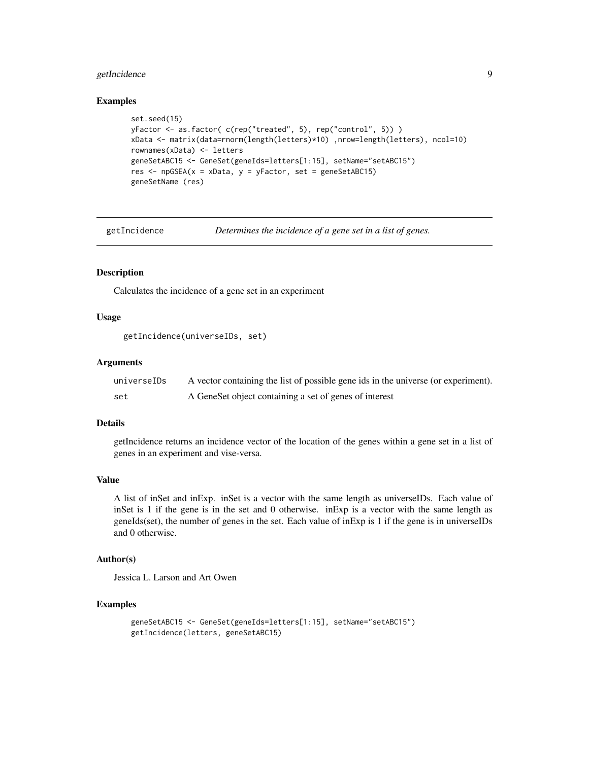## <span id="page-8-0"></span>getIncidence 9

#### Examples

```
set.seed(15)
yFactor <- as.factor( c(rep("treated", 5), rep("control", 5)) )
xData <- matrix(data=rnorm(length(letters)*10) ,nrow=length(letters), ncol=10)
rownames(xData) <- letters
geneSetABC15 <- GeneSet(geneIds=letters[1:15], setName="setABC15")
res <- npGSEA(x = xData, y = yFactor, set = geneSetABC15)
geneSetName (res)
```
getIncidence *Determines the incidence of a gene set in a list of genes.*

#### Description

Calculates the incidence of a gene set in an experiment

#### Usage

getIncidence(universeIDs, set)

## Arguments

| universeIDs | A vector containing the list of possible gene ids in the universe (or experiment). |
|-------------|------------------------------------------------------------------------------------|
| set         | A GeneSet object containing a set of genes of interest                             |

## Details

getIncidence returns an incidence vector of the location of the genes within a gene set in a list of genes in an experiment and vise-versa.

#### Value

A list of inSet and inExp. inSet is a vector with the same length as universeIDs. Each value of inSet is 1 if the gene is in the set and 0 otherwise. inExp is a vector with the same length as geneIds(set), the number of genes in the set. Each value of inExp is 1 if the gene is in universeIDs and 0 otherwise.

## Author(s)

Jessica L. Larson and Art Owen

```
geneSetABC15 <- GeneSet(geneIds=letters[1:15], setName="setABC15")
getIncidence(letters, geneSetABC15)
```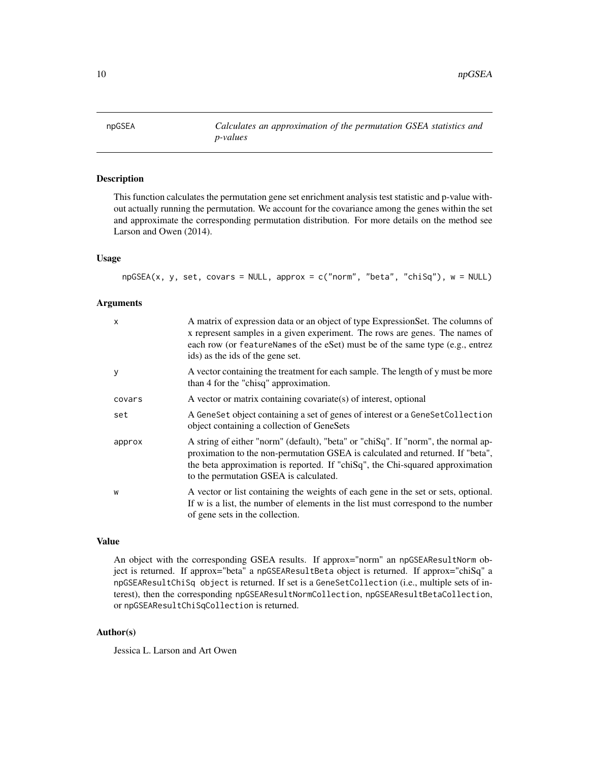<span id="page-9-0"></span>npGSEA *Calculates an approximation of the permutation GSEA statistics and p-values*

## Description

This function calculates the permutation gene set enrichment analysis test statistic and p-value without actually running the permutation. We account for the covariance among the genes within the set and approximate the corresponding permutation distribution. For more details on the method see Larson and Owen (2014).

## Usage

npGSEA(x, y, set, covars = NULL, approx = c("norm", "beta", "chiSq"), w = NULL)

#### Arguments

| $\times$ | A matrix of expression data or an object of type Expression Set. The columns of<br>x represent samples in a given experiment. The rows are genes. The names of<br>each row (or featureNames of the eSet) must be of the same type (e.g., entrez<br>ids) as the ids of the gene set.            |
|----------|------------------------------------------------------------------------------------------------------------------------------------------------------------------------------------------------------------------------------------------------------------------------------------------------|
| y        | A vector containing the treatment for each sample. The length of y must be more<br>than 4 for the "chisq" approximation.                                                                                                                                                                       |
| covars   | A vector or matrix containing covariate(s) of interest, optional                                                                                                                                                                                                                               |
| set      | A Gene Set object containing a set of genes of interest or a Gene Set Collection<br>object containing a collection of GeneSets                                                                                                                                                                 |
| approx   | A string of either "norm" (default), "beta" or "chiSq". If "norm", the normal ap-<br>proximation to the non-permutation GSEA is calculated and returned. If "beta",<br>the beta approximation is reported. If "chiSq", the Chi-squared approximation<br>to the permutation GSEA is calculated. |
| W        | A vector or list containing the weights of each gene in the set or sets, optional.<br>If w is a list, the number of elements in the list must correspond to the number<br>of gene sets in the collection.                                                                                      |

#### Value

An object with the corresponding GSEA results. If approx="norm" an npGSEAResultNorm object is returned. If approx="beta" a npGSEAResultBeta object is returned. If approx="chiSq" a npGSEAResultChiSq object is returned. If set is a GeneSetCollection (i.e., multiple sets of interest), then the corresponding npGSEAResultNormCollection, npGSEAResultBetaCollection, or npGSEAResultChiSqCollection is returned.

#### Author(s)

Jessica L. Larson and Art Owen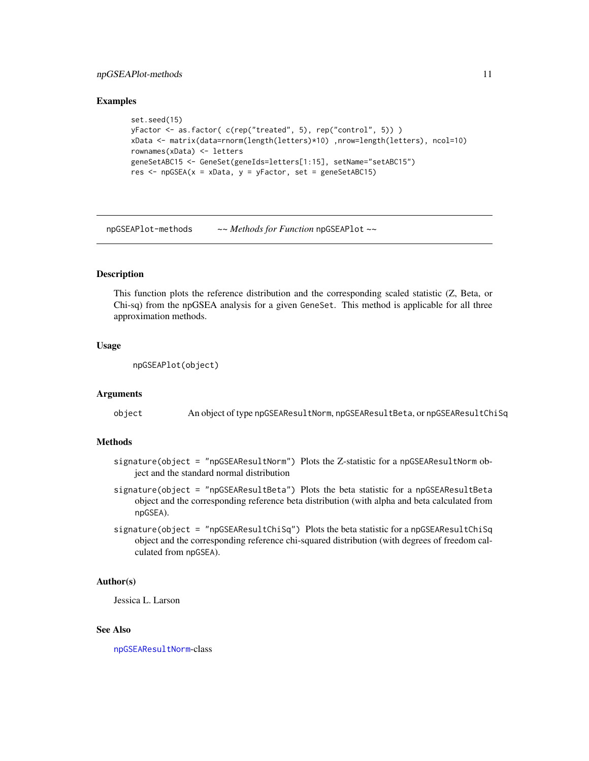## <span id="page-10-0"></span>npGSEAPlot-methods 11

#### Examples

```
set.seed(15)
yFactor <- as.factor( c(rep("treated", 5), rep("control", 5)) )
xData <- matrix(data=rnorm(length(letters)*10) ,nrow=length(letters), ncol=10)
rownames(xData) <- letters
geneSetABC15 <- GeneSet(geneIds=letters[1:15], setName="setABC15")
res \leq npGSEA(x = xData, y = yFactor, set = geneSetABC15)
```
npGSEAPlot-methods *~~ Methods for Function* npGSEAPlot *~~*

## **Description**

This function plots the reference distribution and the corresponding scaled statistic (Z, Beta, or Chi-sq) from the npGSEA analysis for a given GeneSet. This method is applicable for all three approximation methods.

## Usage

npGSEAPlot(object)

#### Arguments

object An object of type npGSEAResultNorm, npGSEAResultBeta, or npGSEAResultChiSq

## Methods

- signature(object = "npGSEAResultNorm") Plots the Z-statistic for a npGSEAResultNorm object and the standard normal distribution
- signature(object = "npGSEAResultBeta") Plots the beta statistic for a npGSEAResultBeta object and the corresponding reference beta distribution (with alpha and beta calculated from npGSEA).
- signature(object = "npGSEAResultChiSq") Plots the beta statistic for a npGSEAResultChiSq object and the corresponding reference chi-squared distribution (with degrees of freedom calculated from npGSEA).

#### Author(s)

Jessica L. Larson

## See Also

[npGSEAResultNorm](#page-14-1)-class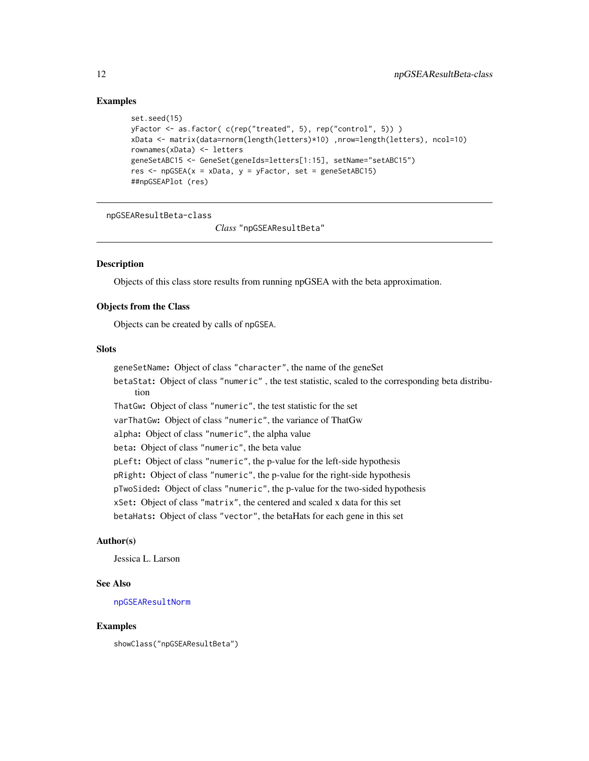## Examples

```
set.seed(15)
yFactor <- as.factor( c(rep("treated", 5), rep("control", 5)) )
xData <- matrix(data=rnorm(length(letters)*10) ,nrow=length(letters), ncol=10)
rownames(xData) <- letters
geneSetABC15 <- GeneSet(geneIds=letters[1:15], setName="setABC15")
res \leq npGSEA(x = xData, y = yFactor, set = geneSetABC15)
##npGSEAPlot (res)
```
<span id="page-11-1"></span>npGSEAResultBeta-class

*Class* "npGSEAResultBeta"

## Description

Objects of this class store results from running npGSEA with the beta approximation.

## Objects from the Class

Objects can be created by calls of npGSEA.

## Slots

geneSetName: Object of class "character", the name of the geneSet

betaStat: Object of class "numeric" , the test statistic, scaled to the corresponding beta distribution

ThatGw: Object of class "numeric", the test statistic for the set

varThatGw: Object of class "numeric", the variance of ThatGw

alpha: Object of class "numeric", the alpha value

beta: Object of class "numeric", the beta value

pLeft: Object of class "numeric", the p-value for the left-side hypothesis

pRight: Object of class "numeric", the p-value for the right-side hypothesis

pTwoSided: Object of class "numeric", the p-value for the two-sided hypothesis

xSet: Object of class "matrix", the centered and scaled x data for this set

betaHats: Object of class "vector", the betaHats for each gene in this set

#### Author(s)

Jessica L. Larson

## See Also

[npGSEAResultNorm](#page-14-1)

#### Examples

showClass("npGSEAResultBeta")

<span id="page-11-0"></span>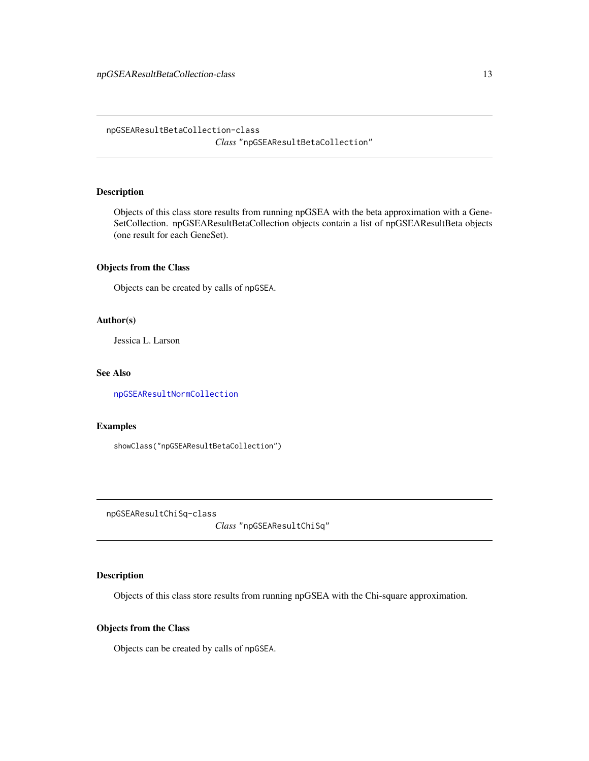## <span id="page-12-0"></span>Description

Objects of this class store results from running npGSEA with the beta approximation with a Gene-SetCollection. npGSEAResultBetaCollection objects contain a list of npGSEAResultBeta objects (one result for each GeneSet).

## Objects from the Class

Objects can be created by calls of npGSEA.

## Author(s)

Jessica L. Larson

#### See Also

[npGSEAResultNormCollection](#page-15-1)

## Examples

showClass("npGSEAResultBetaCollection")

<span id="page-12-1"></span>npGSEAResultChiSq-class

*Class* "npGSEAResultChiSq"

## Description

Objects of this class store results from running npGSEA with the Chi-square approximation.

## Objects from the Class

Objects can be created by calls of npGSEA.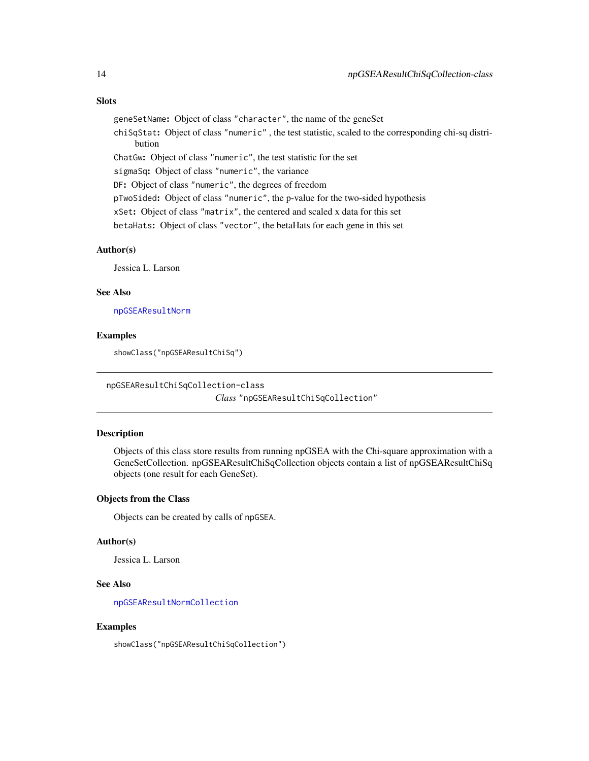## <span id="page-13-0"></span>**Slots**

geneSetName: Object of class "character", the name of the geneSet

chiSqStat: Object of class "numeric" , the test statistic, scaled to the corresponding chi-sq distribution

ChatGw: Object of class "numeric", the test statistic for the set

sigmaSq: Object of class "numeric", the variance

DF: Object of class "numeric", the degrees of freedom

pTwoSided: Object of class "numeric", the p-value for the two-sided hypothesis

xSet: Object of class "matrix", the centered and scaled x data for this set

betaHats: Object of class "vector", the betaHats for each gene in this set

## Author(s)

Jessica L. Larson

## See Also

[npGSEAResultNorm](#page-14-1)

## Examples

showClass("npGSEAResultChiSq")

<span id="page-13-1"></span>npGSEAResultChiSqCollection-class

*Class* "npGSEAResultChiSqCollection"

#### Description

Objects of this class store results from running npGSEA with the Chi-square approximation with a GeneSetCollection. npGSEAResultChiSqCollection objects contain a list of npGSEAResultChiSq objects (one result for each GeneSet).

## Objects from the Class

Objects can be created by calls of npGSEA.

#### Author(s)

Jessica L. Larson

## See Also

[npGSEAResultNormCollection](#page-15-1)

## Examples

showClass("npGSEAResultChiSqCollection")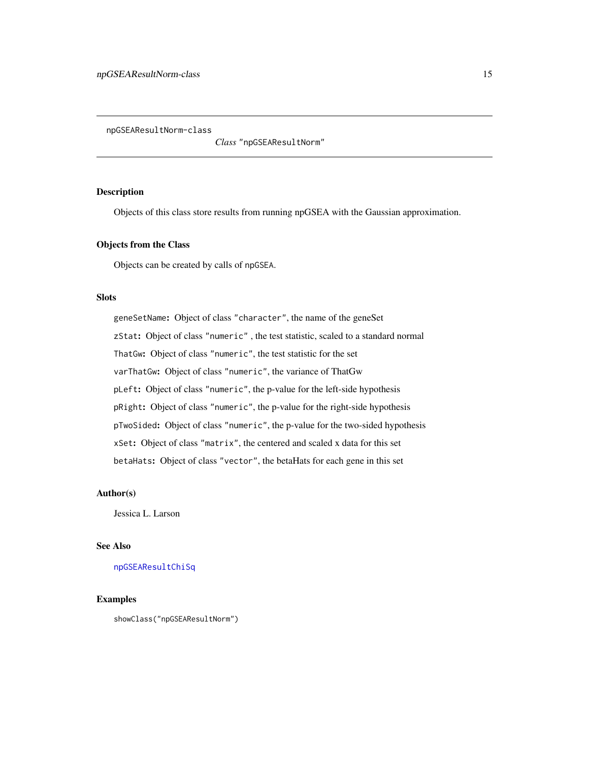<span id="page-14-1"></span><span id="page-14-0"></span>npGSEAResultNorm-class

*Class* "npGSEAResultNorm"

## Description

Objects of this class store results from running npGSEA with the Gaussian approximation.

## Objects from the Class

Objects can be created by calls of npGSEA.

#### **Slots**

geneSetName: Object of class "character", the name of the geneSet zStat: Object of class "numeric" , the test statistic, scaled to a standard normal ThatGw: Object of class "numeric", the test statistic for the set varThatGw: Object of class "numeric", the variance of ThatGw pLeft: Object of class "numeric", the p-value for the left-side hypothesis pRight: Object of class "numeric", the p-value for the right-side hypothesis pTwoSided: Object of class "numeric", the p-value for the two-sided hypothesis xSet: Object of class "matrix", the centered and scaled x data for this set betaHats: Object of class "vector", the betaHats for each gene in this set

## Author(s)

Jessica L. Larson

## See Also

[npGSEAResultChiSq](#page-12-1)

## Examples

showClass("npGSEAResultNorm")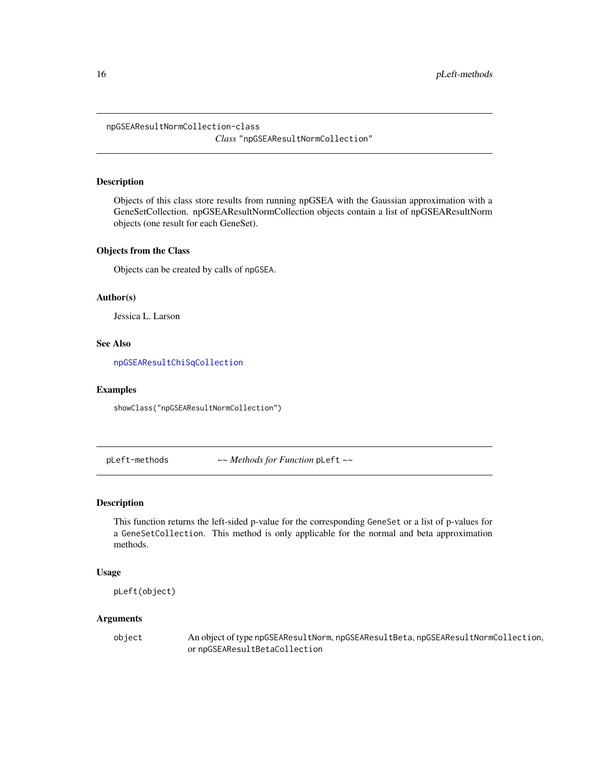<span id="page-15-1"></span><span id="page-15-0"></span>npGSEAResultNormCollection-class *Class* "npGSEAResultNormCollection"

#### Description

Objects of this class store results from running npGSEA with the Gaussian approximation with a GeneSetCollection. npGSEAResultNormCollection objects contain a list of npGSEAResultNorm objects (one result for each GeneSet).

## Objects from the Class

Objects can be created by calls of npGSEA.

### Author(s)

Jessica L. Larson

## See Also

[npGSEAResultChiSqCollection](#page-13-1)

## Examples

showClass("npGSEAResultNormCollection")

pLeft-methods *~~ Methods for Function* pLeft *~~*

## Description

This function returns the left-sided p-value for the corresponding GeneSet or a list of p-values for a GeneSetCollection. This method is only applicable for the normal and beta approximation methods.

## Usage

pLeft(object)

## Arguments

object An object of type npGSEAResultNorm, npGSEAResultBeta, npGSEAResultNormCollection, or npGSEAResultBetaCollection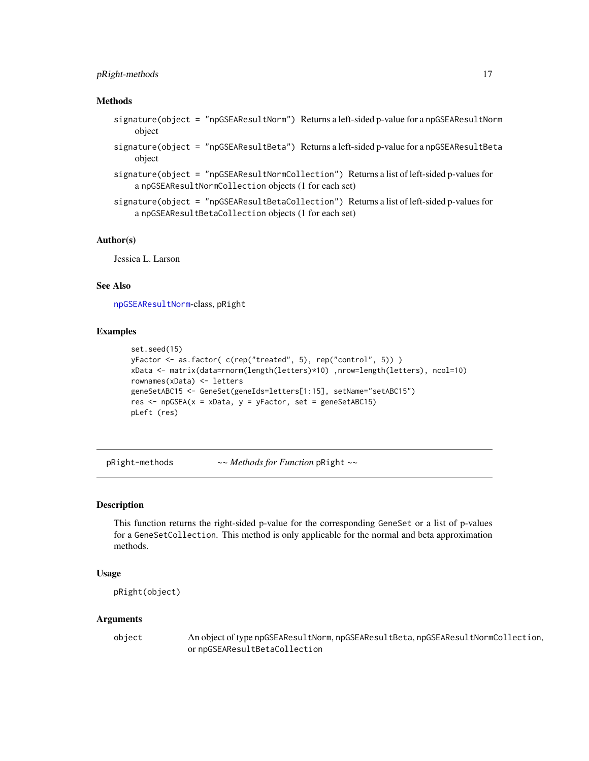## <span id="page-16-0"></span>pRight-methods 17

#### Methods

- signature(object = "npGSEAResultNorm") Returns a left-sided p-value for a npGSEAResultNorm object
- signature(object = "npGSEAResultBeta") Returns a left-sided p-value for a npGSEAResultBeta object
- signature(object = "npGSEAResultNormCollection") Returns a list of left-sided p-values for a npGSEAResultNormCollection objects (1 for each set)
- signature(object = "npGSEAResultBetaCollection") Returns a list of left-sided p-values for a npGSEAResultBetaCollection objects (1 for each set)

#### Author(s)

Jessica L. Larson

#### See Also

[npGSEAResultNorm](#page-14-1)-class, pRight

#### Examples

```
set.seed(15)
yFactor <- as.factor( c(rep("treated", 5), rep("control", 5)) )
xData <- matrix(data=rnorm(length(letters)*10) ,nrow=length(letters), ncol=10)
rownames(xData) <- letters
geneSetABC15 <- GeneSet(geneIds=letters[1:15], setName="setABC15")
res \leq npGSEA(x = xData, y = yFactor, set = geneSetABC15)
pLeft (res)
```
pRight-methods *~~ Methods for Function* pRight *~~*

### Description

This function returns the right-sided p-value for the corresponding GeneSet or a list of p-values for a GeneSetCollection. This method is only applicable for the normal and beta approximation methods.

## Usage

```
pRight(object)
```
#### Arguments

object An object of type npGSEAResultNorm, npGSEAResultBeta, npGSEAResultNormCollection, or npGSEAResultBetaCollection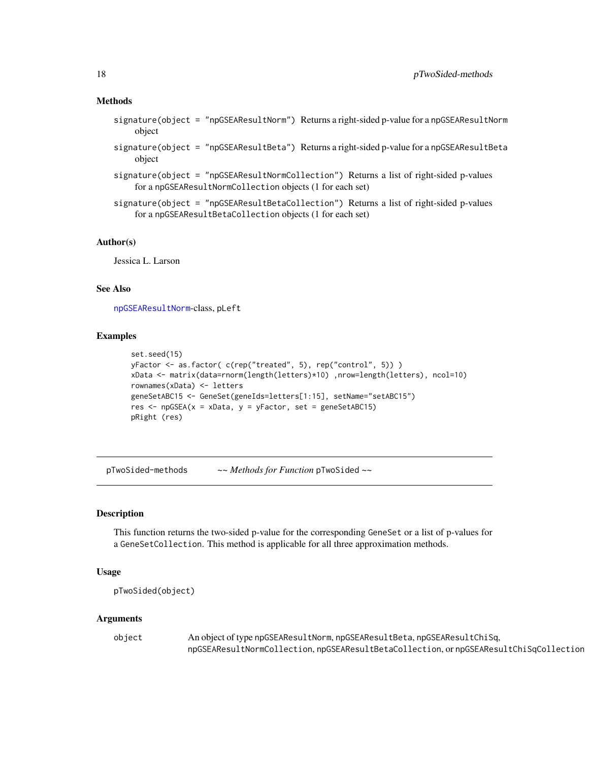#### <span id="page-17-0"></span>Methods

- signature(object = "npGSEAResultNorm") Returns a right-sided p-value for a npGSEAResultNorm object
- signature(object = "npGSEAResultBeta") Returns a right-sided p-value for a npGSEAResultBeta object
- signature(object = "npGSEAResultNormCollection") Returns a list of right-sided p-values for a npGSEAResultNormCollection objects (1 for each set)
- signature(object = "npGSEAResultBetaCollection") Returns a list of right-sided p-values for a npGSEAResultBetaCollection objects (1 for each set)

#### Author(s)

Jessica L. Larson

## See Also

[npGSEAResultNorm](#page-14-1)-class, pLeft

## Examples

```
set.seed(15)
yFactor <- as.factor( c(rep("treated", 5), rep("control", 5)) )
xData <- matrix(data=rnorm(length(letters)*10) ,nrow=length(letters), ncol=10)
rownames(xData) <- letters
geneSetABC15 <- GeneSet(geneIds=letters[1:15], setName="setABC15")
res <- npGSEA(x = xData, y = yFactor, set = geneSetABC15)
pRight (res)
```
pTwoSided-methods *~~ Methods for Function* pTwoSided *~~*

## Description

This function returns the two-sided p-value for the corresponding GeneSet or a list of p-values for a GeneSetCollection. This method is applicable for all three approximation methods.

#### Usage

```
pTwoSided(object)
```
#### Arguments

| object | An object of type npGSEAResultNorm, npGSEAResultBeta, npGSEAResultChiSq,            |
|--------|-------------------------------------------------------------------------------------|
|        | npGSEAResultNormCollection,npGSEAResultBetaCollection,ornpGSEAResultChiSqCollection |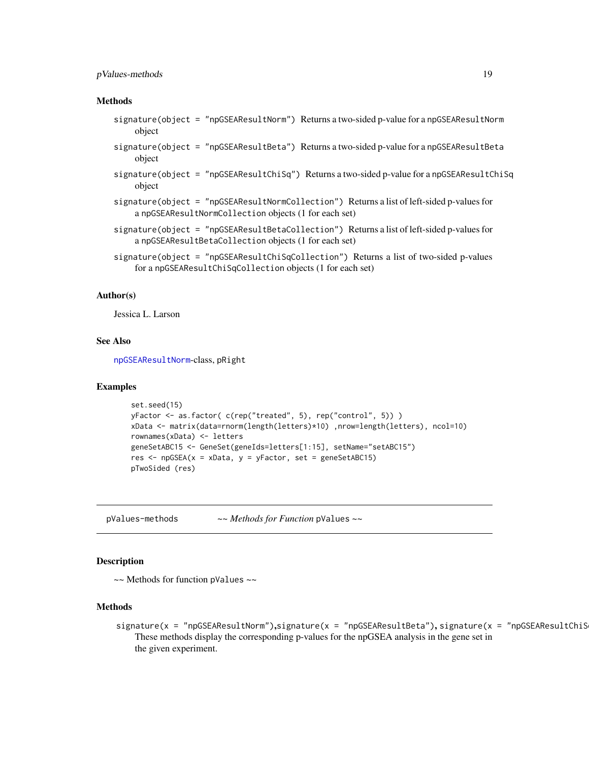## <span id="page-18-0"></span>pValues-methods 19

#### Methods

- signature(object = "npGSEAResultNorm") Returns a two-sided p-value for a npGSEAResultNorm object
- signature(object = "npGSEAResultBeta") Returns a two-sided p-value for a npGSEAResultBeta object
- signature(object = "npGSEAResultChiSq") Returns a two-sided p-value for a npGSEAResultChiSq object
- signature(object = "npGSEAResultNormCollection") Returns a list of left-sided p-values for a npGSEAResultNormCollection objects (1 for each set)
- signature(object = "npGSEAResultBetaCollection") Returns a list of left-sided p-values for a npGSEAResultBetaCollection objects (1 for each set)
- signature(object = "npGSEAResultChiSqCollection") Returns a list of two-sided p-values for a npGSEAResultChiSqCollection objects (1 for each set)

## Author(s)

Jessica L. Larson

#### See Also

[npGSEAResultNorm](#page-14-1)-class, pRight

#### Examples

```
set.seed(15)
yFactor <- as.factor( c(rep("treated", 5), rep("control", 5)) )
xData <- matrix(data=rnorm(length(letters)*10) ,nrow=length(letters), ncol=10)
rownames(xData) <- letters
geneSetABC15 <- GeneSet(geneIds=letters[1:15], setName="setABC15")
res \leq npGSEA(x = xData, y = yFactor, set = geneSetABC15)
pTwoSided (res)
```
pValues-methods *~~ Methods for Function* pValues *~~*

## **Description**

~~ Methods for function pValues ~~

## Methods

signature(x = "npGSEAResultNorm"),signature(x = "npGSEAResultBeta"), signature(x = "npGSEAResultChiS These methods display the corresponding p-values for the npGSEA analysis in the gene set in the given experiment.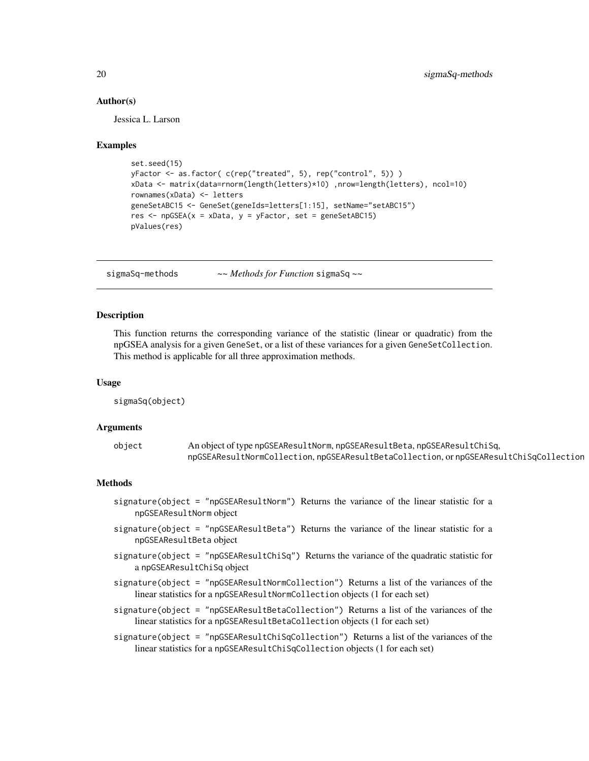#### Author(s)

Jessica L. Larson

#### Examples

```
set.seed(15)
yFactor <- as.factor( c(rep("treated", 5), rep("control", 5)) )
xData <- matrix(data=rnorm(length(letters)*10) ,nrow=length(letters), ncol=10)
rownames(xData) <- letters
geneSetABC15 <- GeneSet(geneIds=letters[1:15], setName="setABC15")
res \leq npGSEA(x = xData, y = yFactor, set = geneSetABC15)
pValues(res)
```
sigmaSq-methods *~~ Methods for Function* sigmaSq *~~*

## Description

This function returns the corresponding variance of the statistic (linear or quadratic) from the npGSEA analysis for a given GeneSet, or a list of these variances for a given GeneSetCollection. This method is applicable for all three approximation methods.

#### Usage

sigmaSq(object)

#### Arguments

| object | An object of type npGSEAResultNorm, npGSEAResultBeta, npGSEAResultChiSq,            |
|--------|-------------------------------------------------------------------------------------|
|        | npGSEAResultNormCollection,npGSEAResultBetaCollection,ornpGSEAResultChiSqCollection |

## Methods

- signature(object = "npGSEAResultNorm") Returns the variance of the linear statistic for a npGSEAResultNorm object
- signature(object = "npGSEAResultBeta") Returns the variance of the linear statistic for a npGSEAResultBeta object
- signature(object = "npGSEAResultChiSq") Returns the variance of the quadratic statistic for a npGSEAResultChiSq object
- signature(object = "npGSEAResultNormCollection") Returns a list of the variances of the linear statistics for a npGSEAResultNormCollection objects (1 for each set)
- signature(object = "npGSEAResultBetaCollection") Returns a list of the variances of the linear statistics for a npGSEAResultBetaCollection objects (1 for each set)
- signature(object = "npGSEAResultChiSqCollection") Returns a list of the variances of the linear statistics for a npGSEAResultChiSqCollection objects (1 for each set)

<span id="page-19-0"></span>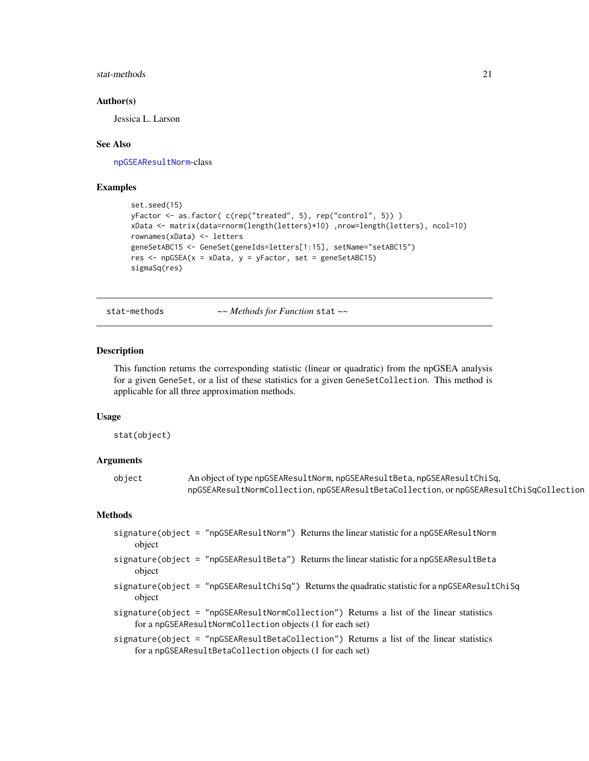## <span id="page-20-0"></span>stat-methods 21

## Author(s)

Jessica L. Larson

#### See Also

[npGSEAResultNorm](#page-14-1)-class

## Examples

```
set.seed(15)
yFactor <- as.factor( c(rep("treated", 5), rep("control", 5)) )
xData <- matrix(data=rnorm(length(letters)*10) ,nrow=length(letters), ncol=10)
rownames(xData) <- letters
geneSetABC15 <- GeneSet(geneIds=letters[1:15], setName="setABC15")
res <- npGSEA(x = xData, y = yFactor, set = geneSetABC15)
sigmaSq(res)
```
stat-methods *~~ Methods for Function* stat *~~*

## Description

This function returns the corresponding statistic (linear or quadratic) from the npGSEA analysis for a given GeneSet, or a list of these statistics for a given GeneSetCollection. This method is applicable for all three approximation methods.

## Usage

stat(object)

## Arguments

| object | An object of type npGSEAResultNorm, npGSEAResultBeta, npGSEAResultChiSq,              |
|--------|---------------------------------------------------------------------------------------|
|        | npGSEAResultNormCollection, npGSEAResultBetaCollection, ornpGSEAResultChiSqCollection |

#### Methods

| signature(object = "npGSEAResultNorm") Returns the linear statistic for a npGSEAResultNorm<br>object                                                  |
|-------------------------------------------------------------------------------------------------------------------------------------------------------|
| signature(object = "npGSEAResultBeta") Returns the linear statistic for a npGSEAResultBeta<br>object                                                  |
| signature(object = "npGSEAResultChiSq") Returns the quadratic statistic for a npGSEAResultChiSq<br>object                                             |
| signature(object = "npGSEAResultNormCollection") Returns a list of the linear statistics<br>for a npGSEAResultNormCollection objects (1 for each set) |
| signature(object = "npGSEAResultBetaCollection") Returns a list of the linear statistics<br>for a npGSEAResultBetaCollection objects (1 for each set) |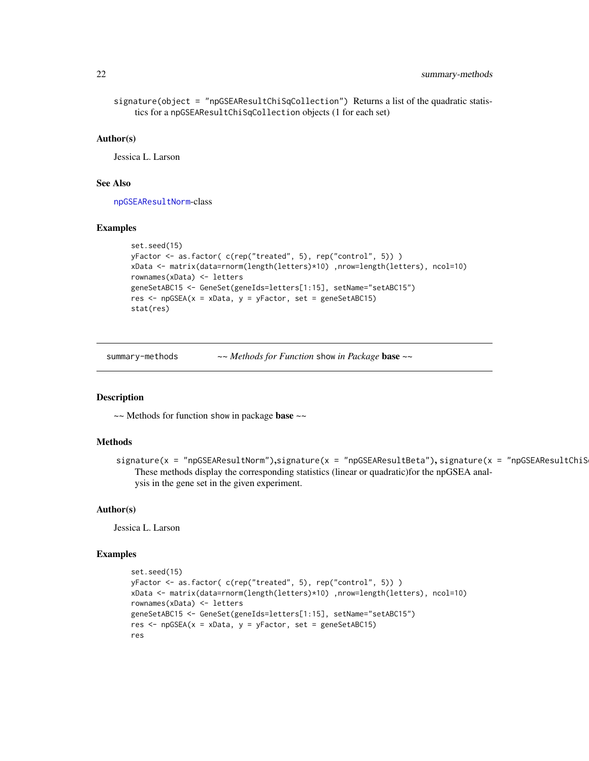```
signature(object = "npGSEAResultChiSqCollection") Returns a list of the quadratic statis-
    tics for a npGSEAResultChiSqCollection objects (1 for each set)
```
#### Author(s)

Jessica L. Larson

#### See Also

[npGSEAResultNorm](#page-14-1)-class

#### Examples

```
set.seed(15)
yFactor <- as.factor( c(rep("treated", 5), rep("control", 5)) )
xData <- matrix(data=rnorm(length(letters)*10) ,nrow=length(letters), ncol=10)
rownames(xData) <- letters
geneSetABC15 <- GeneSet(geneIds=letters[1:15], setName="setABC15")
res <- npGSEA(x = xData, y = yFactor, set = geneSetABC15)
stat(res)
```
summary-methods *~~ Methods for Function* show *in Package* base *~~*

#### Description

 $\sim$  Methods for function show in package base  $\sim$ 

#### Methods

signature(x = "npGSEAResultNorm"),signature(x = "npGSEAResultBeta"), signature(x = "npGSEAResultChiS These methods display the corresponding statistics (linear or quadratic)for the npGSEA analysis in the gene set in the given experiment.

#### Author(s)

Jessica L. Larson

```
set.seed(15)
yFactor <- as.factor( c(rep("treated", 5), rep("control", 5)) )
xData <- matrix(data=rnorm(length(letters)*10) ,nrow=length(letters), ncol=10)
rownames(xData) <- letters
geneSetABC15 <- GeneSet(geneIds=letters[1:15], setName="setABC15")
res \leq npGSEA(x = xData, y = yFactor, set = geneSetABC15)
res
```
<span id="page-21-0"></span>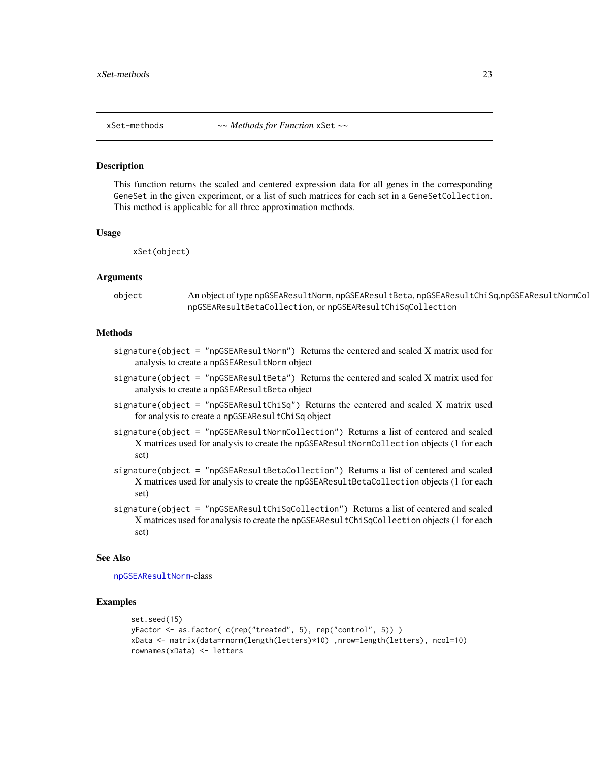<span id="page-22-0"></span>

#### Description

This function returns the scaled and centered expression data for all genes in the corresponding GeneSet in the given experiment, or a list of such matrices for each set in a GeneSetCollection. This method is applicable for all three approximation methods.

#### Usage

xSet(object)

#### Arguments

object An object of type npGSEAResultNorm, npGSEAResultBeta, npGSEAResultChiSq,npGSEAResultNormCol npGSEAResultBetaCollection, or npGSEAResultChiSqCollection

## Methods

- signature(object = "npGSEAResultNorm") Returns the centered and scaled X matrix used for analysis to create a npGSEAResultNorm object
- signature(object = "npGSEAResultBeta") Returns the centered and scaled X matrix used for analysis to create a npGSEAResultBeta object
- signature(object = "npGSEAResultChiSq") Returns the centered and scaled  $X$  matrix used for analysis to create a npGSEAResultChiSq object
- signature(object = "npGSEAResultNormCollection") Returns a list of centered and scaled X matrices used for analysis to create the npGSEAResultNormCollection objects (1 for each set)
- signature(object = "npGSEAResultBetaCollection") Returns a list of centered and scaled X matrices used for analysis to create the npGSEAResultBetaCollection objects (1 for each set)
- signature(object = "npGSEAResultChiSqCollection") Returns a list of centered and scaled X matrices used for analysis to create the npGSEAResultChiSqCollection objects (1 for each set)

#### See Also

[npGSEAResultNorm](#page-14-1)-class

```
set.seed(15)
yFactor <- as.factor( c(rep("treated", 5), rep("control", 5)) )
xData <- matrix(data=rnorm(length(letters)*10) ,nrow=length(letters), ncol=10)
rownames(xData) <- letters
```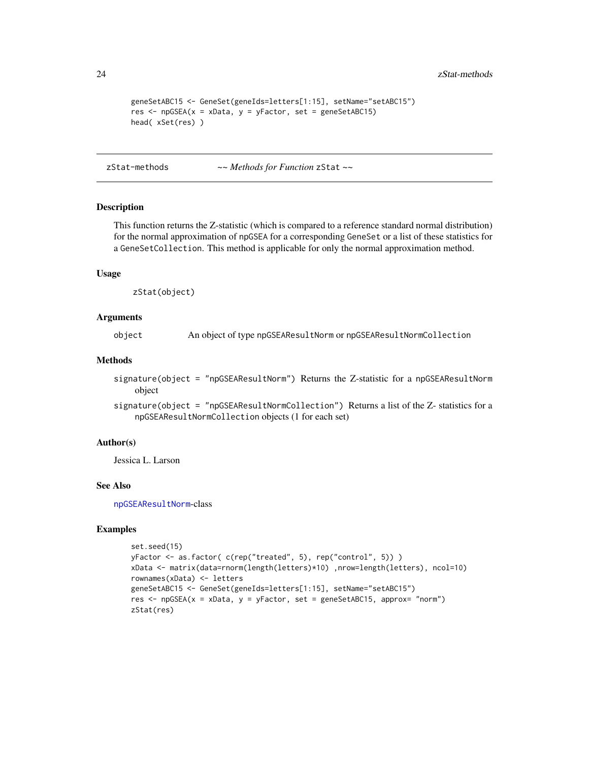```
geneSetABC15 <- GeneSet(geneIds=letters[1:15], setName="setABC15")
res <- npGSEA(x = xData, y = yFactor, set = geneSetABC15)
head( xSet(res) )
```
zStat-methods *~~ Methods for Function* zStat *~~*

#### **Description**

This function returns the Z-statistic (which is compared to a reference standard normal distribution) for the normal approximation of npGSEA for a corresponding GeneSet or a list of these statistics for a GeneSetCollection. This method is applicable for only the normal approximation method.

#### Usage

zStat(object)

## Arguments

object An object of type npGSEAResultNorm or npGSEAResultNormCollection

## Methods

signature(object = "npGSEAResultNorm") Returns the Z-statistic for a npGSEAResultNorm object

signature(object = "npGSEAResultNormCollection") Returns a list of the Z- statistics for a npGSEAResultNormCollection objects (1 for each set)

## Author(s)

Jessica L. Larson

## See Also

[npGSEAResultNorm](#page-14-1)-class

```
set.seed(15)
yFactor <- as.factor( c(rep("treated", 5), rep("control", 5)) )
xData <- matrix(data=rnorm(length(letters)*10) ,nrow=length(letters), ncol=10)
rownames(xData) <- letters
geneSetABC15 <- GeneSet(geneIds=letters[1:15], setName="setABC15")
res <- npGSEA(x = xData, y = yFactor, set = geneSetABC15, approx= "norm")
zStat(res)
```
<span id="page-23-0"></span>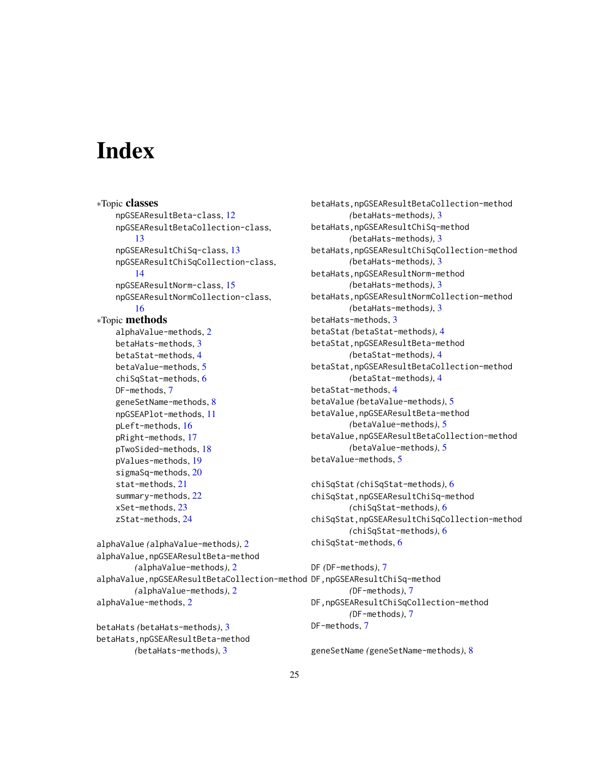# <span id="page-24-0"></span>**Index**

∗Topic classes npGSEAResultBeta-class, [12](#page-11-0) npGSEAResultBetaCollection-class, [13](#page-12-0) npGSEAResultChiSq-class, [13](#page-12-0) npGSEAResultChiSqCollection-class, [14](#page-13-0) npGSEAResultNorm-class, [15](#page-14-0) npGSEAResultNormCollection-class, [16](#page-15-0) ∗Topic methods alphaValue-methods, [2](#page-1-0) betaHats-methods, [3](#page-2-0) betaStat-methods, [4](#page-3-0) betaValue-methods, [5](#page-4-0) chiSqStat-methods, [6](#page-5-0) DF-methods, [7](#page-6-0) geneSetName-methods, [8](#page-7-0) npGSEAPlot-methods, [11](#page-10-0) pLeft-methods, [16](#page-15-0) pRight-methods, [17](#page-16-0) pTwoSided-methods, [18](#page-17-0) pValues-methods, [19](#page-18-0) sigmaSq-methods, [20](#page-19-0) stat-methods, [21](#page-20-0) summary-methods, [22](#page-21-0) xSet-methods, [23](#page-22-0) zStat-methods, [24](#page-23-0) alphaValue *(*alphaValue-methods*)*, [2](#page-1-0) alphaValue,npGSEAResultBeta-method *(*alphaValue-methods*)*, [2](#page-1-0) alphaValue,npGSEAResultBetaCollection-method DF,npGSEAResultChiSq-method *(*alphaValue-methods*)*, [2](#page-1-0) alphaValue-methods, [2](#page-1-0)

betaHats *(*betaHats-methods*)*, [3](#page-2-0) betaHats,npGSEAResultBeta-method *(*betaHats-methods*)*, [3](#page-2-0)

betaHats,npGSEAResultBetaCollection-method *(*betaHats-methods*)*, [3](#page-2-0) betaHats,npGSEAResultChiSq-method *(*betaHats-methods*)*, [3](#page-2-0) betaHats,npGSEAResultChiSqCollection-method *(*betaHats-methods*)*, [3](#page-2-0) betaHats,npGSEAResultNorm-method *(*betaHats-methods*)*, [3](#page-2-0) betaHats,npGSEAResultNormCollection-method *(*betaHats-methods*)*, [3](#page-2-0) betaHats-methods, [3](#page-2-0) betaStat *(*betaStat-methods*)*, [4](#page-3-0) betaStat,npGSEAResultBeta-method *(*betaStat-methods*)*, [4](#page-3-0) betaStat,npGSEAResultBetaCollection-method *(*betaStat-methods*)*, [4](#page-3-0) betaStat-methods, [4](#page-3-0) betaValue *(*betaValue-methods*)*, [5](#page-4-0) betaValue,npGSEAResultBeta-method *(*betaValue-methods*)*, [5](#page-4-0) betaValue,npGSEAResultBetaCollection-method *(*betaValue-methods*)*, [5](#page-4-0) betaValue-methods, [5](#page-4-0)

```
chiSqStat (chiSqStat-methods), 6
chiSqStat,npGSEAResultChiSq-method
        (chiSqStat-methods), 6
chiSqStat,npGSEAResultChiSqCollection-method
        (chiSqStat-methods), 6
chiSqStat-methods, 6
```
*(*DF-methods*)*, [7](#page-6-0) DF,npGSEAResultChiSqCollection-method *(*DF-methods*)*, [7](#page-6-0) DF-methods, [7](#page-6-0)

DF *(*DF-methods*)*, [7](#page-6-0)

geneSetName *(*geneSetName-methods*)*, [8](#page-7-0)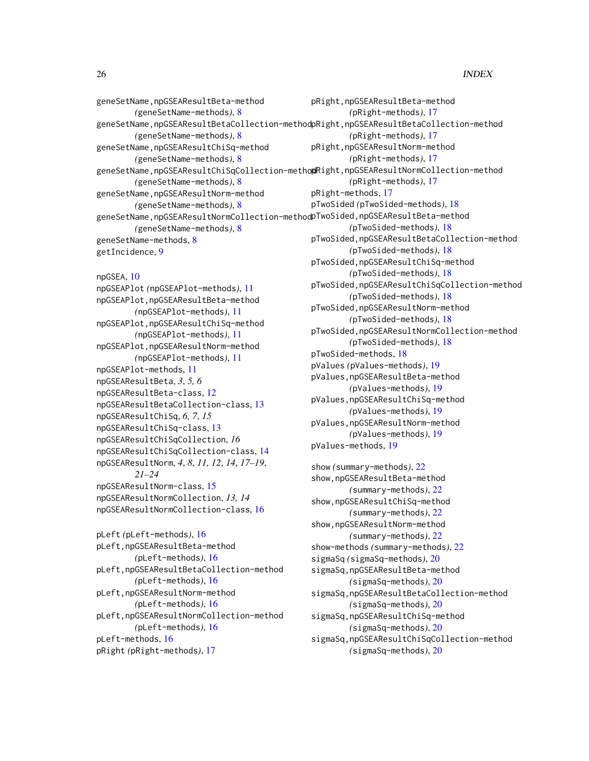```
geneSetName,npGSEAResultBeta-method
        (geneSetName-methods), 8
geneSetName,npGSEAResultBetaCollection-method
pRight,npGSEAResultBetaCollection-method
        (geneSetName-methods), 8
geneSetName,npGSEAResultChiSq-method
        (geneSetName-methods), 8
geneSetName,npGSEAResultChiSqCollection-method
pRight,npGSEAResultNormCollection-method
        (geneSetName-methods), 8
geneSetName,npGSEAResultNorm-method
        (geneSetName-methods), 8
geneSetName,npGSEAResultNormCollection-method<code>pTwoSided,npGSEAResultBeta-method</code>
        (geneSetName-methods), 8
geneSetName-methods, 8
getIncidence, 9
npGSEA, 10
npGSEAPlot (npGSEAPlot-methods), 11
npGSEAPlot,npGSEAResultBeta-method
        (npGSEAPlot-methods), 11
npGSEAPlot,npGSEAResultChiSq-method
        (npGSEAPlot-methods), 11
npGSEAPlot,npGSEAResultNorm-method
        (npGSEAPlot-methods), 11
npGSEAPlot-methods, 11
npGSEAResultBeta, 3, 5, 6
npGSEAResultBeta-class, 12
npGSEAResultBetaCollection-class, 13
npGSEAResultChiSq, 6, 7, 15
npGSEAResultChiSq-class, 13
npGSEAResultChiSqCollection, 16
npGSEAResultChiSqCollection-class, 14
npGSEAResultNorm, 4, 8, 11, 12, 14, 17–19,
        21–24
npGSEAResultNorm-class, 15
npGSEAResultNormCollection, 13, 14
npGSEAResultNormCollection-class, 16
pLeft (pLeft-methods), 16
pLeft,npGSEAResultBeta-method
        (pLeft-methods), 16
pLeft,npGSEAResultBetaCollection-method
        (pLeft-methods), 16
pLeft,npGSEAResultNorm-method
        (pLeft-methods), 16
pLeft,npGSEAResultNormCollection-method
        (pLeft-methods), 16
pLeft-methods, 16
                                               pRight,npGSEAResultBeta-method
                                                       (pRight-methods), 17
                                                       (pRight-methods), 17
                                               pRight,npGSEAResultNorm-method
                                                       (pRight-methods), 17
                                                       (pRight-methods), 17
                                               pRight-methods, 17
                                               pTwoSided (pTwoSided-methods), 18
                                                       (pTwoSided-methods), 18
                                               pTwoSided,npGSEAResultBetaCollection-method
                                                       (pTwoSided-methods), 18
                                               pTwoSided,npGSEAResultChiSq-method
                                                       (pTwoSided-methods), 18
                                               pTwoSided,npGSEAResultChiSqCollection-method
                                                       (pTwoSided-methods), 18
                                               pTwoSided,npGSEAResultNorm-method
                                                       (pTwoSided-methods), 18
                                               pTwoSided,npGSEAResultNormCollection-method
                                                       (pTwoSided-methods), 18
                                               pTwoSided-methods, 18
                                               pValues (pValues-methods), 19
                                               pValues,npGSEAResultBeta-method
                                                       (pValues-methods), 19
                                               pValues,npGSEAResultChiSq-method
                                                       (pValues-methods), 19
                                               pValues,npGSEAResultNorm-method
                                                       (pValues-methods), 19
                                               pValues-methods, 19
                                               show (summary-methods), 22
                                               show,npGSEAResultBeta-method
                                                       (summary-methods), 22
                                               show,npGSEAResultChiSq-method
                                                       (summary-methods), 22
                                               show,npGSEAResultNorm-method
                                                       (summary-methods), 22
                                               show-methods (summary-methods), 22
                                               sigmaSq (sigmaSq-methods), 20
                                               sigmaSq,npGSEAResultBeta-method
                                                       (sigmaSq-methods), 20
                                               sigmaSq,npGSEAResultBetaCollection-method
                                                       (sigmaSq-methods), 20
                                               sigmaSq,npGSEAResultChiSq-method
                                                       (sigmaSq-methods), 20
                                               sigmaSq,npGSEAResultChiSqCollection-method
```
*(*sigmaSq-methods*)*, [20](#page-19-0)

```
pRight (pRight-methods), 17
```